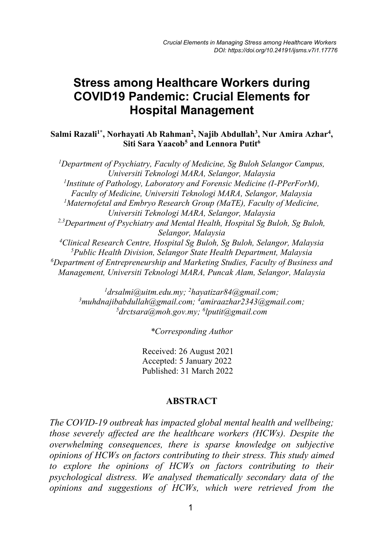# **Hospital Management Stress among Healthcare Workers during COVID19 Pandemic: Crucial Elements for**

Salmi Razali<sup>1\*</sup>, Norhayati Ab Rahman<sup>2</sup>, Najib Abdullah<sup>3</sup>, Nur Amira Azhar<sup>4</sup>, **Siti Sara Yaacob5 and Lennora Putit6** 

*1 Department of Psychiatry, Faculty of Medicine, Sg Buloh Selangor Campus, Universiti Teknologi MARA, Selangor, Malaysia 1 Institute of Pathology, Laboratory and Forensic Medicine (I-PPerForM), Faculty of Medicine, Universiti Teknologi MARA, Selangor, Malaysia* <sup>1</sup>Maternofetal and Embryo Research Group (MaTE), Faculty of Medicine, *Universiti Teknologi MARA, Selangor, Malaysia 2,3Department of Psychiatry and Mental Health, Hospital Sg Buloh, Sg Buloh, Selangor, Malaysia 4 Clinical Research Centre, Hospital Sg Buloh, Sg Buloh, Selangor, Malaysia 5 Public Health Division, Selangor State Health Department, Malaysia 6 Department of Entrepreneurship and Marketing Studies, Faculty of Business and Management, Universiti Teknologi MARA, Puncak Alam, Selangor, Malaysia*

*1 drsalmi@uitm.edu.my; 2 hayatizar84@gmail.com; 3 muhdnajibabdullah@gmail.com; 4 amiraazhar2343@gmail.com; 5 drctsara@moh.gov.my; 6 lputit@gmail.com* 

*\*Corresponding Author*

Received: 26 August 2021 Accepted: 5 January 2022 Published: 31 March 2022

#### **ABSTRACT**

*The COVID-19 outbreak has impacted global mental health and wellbeing; those severely affected are the healthcare workers (HCWs). Despite the overwhelming consequences, there is sparse knowledge on subjective opinions of HCWs on factors contributing to their stress. This study aimed to explore the opinions of HCWs on factors contributing to their psychological distress. We analysed thematically secondary data of the opinions and suggestions of HCWs, which were retrieved from the*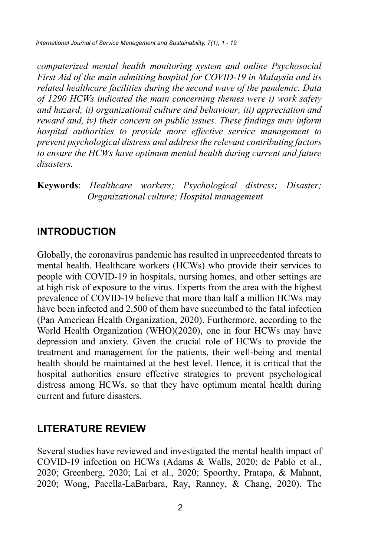*computerized mental health monitoring system and online Psychosocial First Aid of the main admitting hospital for COVID-19 in Malaysia and its related healthcare facilities during the second wave of the pandemic. Data of 1290 HCWs indicated the main concerning themes were i) work safety and hazard; ii) organizational culture and behaviour; iii) appreciation and reward and, iv) their concern on public issues. These findings may inform hospital authorities to provide more effective service management to prevent psychological distress and address the relevant contributing factors to ensure the HCWs have optimum mental health during current and future disasters.* 

**Keywords**: *Healthcare workers; Psychological distress; Disaster; Organizational culture; Hospital management*

## **INTRODUCTION**

Globally, the coronavirus pandemic has resulted in unprecedented threats to mental health. Healthcare workers (HCWs) who provide their services to people with COVID-19 in hospitals, nursing homes, and other settings are at high risk of exposure to the virus. Experts from the area with the highest prevalence of COVID-19 believe that more than half a million HCWs may have been infected and 2,500 of them have succumbed to the fatal infection (Pan American Health Organization, 2020). Furthermore, according to the World Health Organization (WHO)(2020), one in four HCWs may have depression and anxiety. Given the crucial role of HCWs to provide the treatment and management for the patients, their well-being and mental health should be maintained at the best level. Hence, it is critical that the hospital authorities ensure effective strategies to prevent psychological distress among HCWs, so that they have optimum mental health during current and future disasters.

## **LITERATURE REVIEW**

Several studies have reviewed and investigated the mental health impact of COVID-19 infection on HCWs (Adams & Walls, 2020; de Pablo et al., 2020; Greenberg, 2020; Lai et al., 2020; Spoorthy, Pratapa, & Mahant, 2020; Wong, Pacella-LaBarbara, Ray, Ranney, & Chang, 2020). The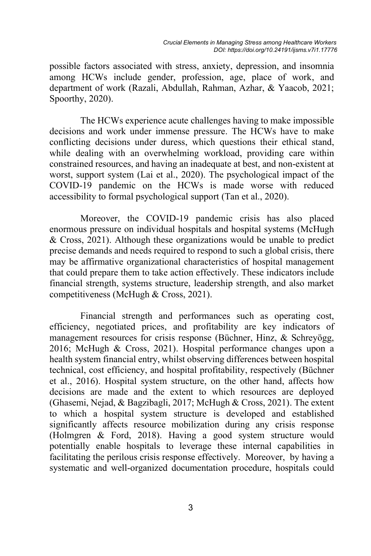possible factors associated with stress, anxiety, depression, and insomnia among HCWs include gender, profession, age, place of work, and department of work (Razali, Abdullah, Rahman, Azhar, & Yaacob, 2021; Spoorthy, 2020).

The HCWs experience acute challenges having to make impossible decisions and work under immense pressure. The HCWs have to make conflicting decisions under duress, which questions their ethical stand, while dealing with an overwhelming workload, providing care within constrained resources, and having an inadequate at best, and non-existent at worst, support system (Lai et al., 2020). The psychological impact of the COVID-19 pandemic on the HCWs is made worse with reduced accessibility to formal psychological support (Tan et al., 2020).

Moreover, the COVID-19 pandemic crisis has also placed enormous pressure on individual hospitals and hospital systems (McHugh & Cross, 2021). Although these organizations would be unable to predict precise demands and needs required to respond to such a global crisis, there may be affirmative organizational characteristics of hospital management that could prepare them to take action effectively. These indicators include financial strength, systems structure, leadership strength, and also market competitiveness (McHugh & Cross, 2021).

Financial strength and performances such as operating cost, efficiency, negotiated prices, and profitability are key indicators of management resources for crisis response (Büchner, Hinz, & Schreyögg, 2016; McHugh & Cross, 2021). Hospital performance changes upon a health system financial entry, whilst observing differences between hospital technical, cost efficiency, and hospital profitability, respectively (Büchner et al., 2016). Hospital system structure, on the other hand, affects how decisions are made and the extent to which resources are deployed (Ghasemi, Nejad, & Bagzibagli, 2017; McHugh & Cross, 2021). The extent to which a hospital system structure is developed and established significantly affects resource mobilization during any crisis response (Holmgren & Ford, 2018). Having a good system structure would potentially enable hospitals to leverage these internal capabilities in facilitating the perilous crisis response effectively. Moreover, by having a systematic and well-organized documentation procedure, hospitals could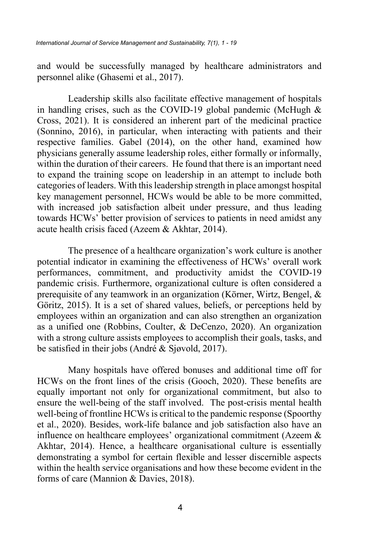and would be successfully managed by healthcare administrators and personnel alike (Ghasemi et al., 2017).

Leadership skills also facilitate effective management of hospitals in handling crises, such as the COVID-19 global pandemic (McHugh & Cross, 2021). It is considered an inherent part of the medicinal practice (Sonnino, 2016), in particular, when interacting with patients and their respective families. Gabel (2014), on the other hand, examined how physicians generally assume leadership roles, either formally or informally, within the duration of their careers. He found that there is an important need to expand the training scope on leadership in an attempt to include both categories of leaders. With this leadership strength in place amongst hospital key management personnel, HCWs would be able to be more committed, with increased job satisfaction albeit under pressure, and thus leading towards HCWs' better provision of services to patients in need amidst any acute health crisis faced (Azeem & Akhtar, 2014).

The presence of a healthcare organization's work culture is another potential indicator in examining the effectiveness of HCWs' overall work performances, commitment, and productivity amidst the COVID-19 pandemic crisis. Furthermore, organizational culture is often considered a prerequisite of any teamwork in an organization (Körner, Wirtz, Bengel, & Göritz, 2015). It is a set of shared values, beliefs, or perceptions held by employees within an organization and can also strengthen an organization as a unified one (Robbins, Coulter, & DeCenzo, 2020). An organization with a strong culture assists employees to accomplish their goals, tasks, and be satisfied in their jobs (André & Sjøvold, 2017).

Many hospitals have offered bonuses and additional time off for HCWs on the front lines of the crisis (Gooch, 2020). These benefits are equally important not only for organizational commitment, but also to ensure the well-being of the staff involved. The post-crisis mental health well-being of frontline HCWs is critical to the pandemic response (Spoorthy et al., 2020). Besides, work-life balance and job satisfaction also have an influence on healthcare employees' organizational commitment (Azeem & Akhtar, 2014). Hence, a healthcare organisational culture is essentially demonstrating a symbol for certain flexible and lesser discernible aspects within the health service organisations and how these become evident in the forms of care (Mannion & Davies, 2018).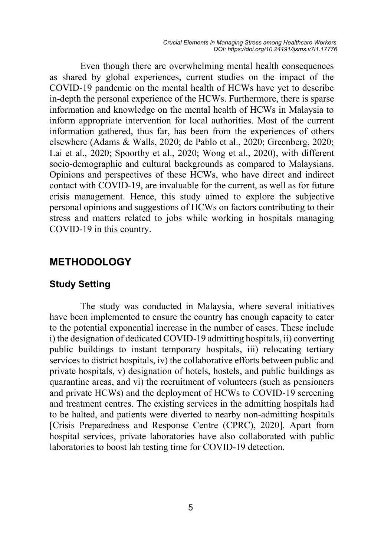Even though there are overwhelming mental health consequences as shared by global experiences, current studies on the impact of the COVID-19 pandemic on the mental health of HCWs have yet to describe in-depth the personal experience of the HCWs. Furthermore, there is sparse information and knowledge on the mental health of HCWs in Malaysia to inform appropriate intervention for local authorities. Most of the current information gathered, thus far, has been from the experiences of others elsewhere (Adams & Walls, 2020; de Pablo et al., 2020; Greenberg, 2020; Lai et al., 2020; Spoorthy et al., 2020; Wong et al., 2020), with different socio-demographic and cultural backgrounds as compared to Malaysians. Opinions and perspectives of these HCWs, who have direct and indirect contact with COVID-19, are invaluable for the current, as well as for future crisis management. Hence, this study aimed to explore the subjective personal opinions and suggestions of HCWs on factors contributing to their stress and matters related to jobs while working in hospitals managing COVID-19 in this country.

## **METHODOLOGY**

#### **Study Setting**

The study was conducted in Malaysia, where several initiatives have been implemented to ensure the country has enough capacity to cater to the potential exponential increase in the number of cases. These include i) the designation of dedicated COVID-19 admitting hospitals, ii) converting public buildings to instant temporary hospitals, iii) relocating tertiary services to district hospitals, iv) the collaborative efforts between public and private hospitals, v) designation of hotels, hostels, and public buildings as quarantine areas, and vi) the recruitment of volunteers (such as pensioners and private HCWs) and the deployment of HCWs to COVID-19 screening and treatment centres. The existing services in the admitting hospitals had to be halted, and patients were diverted to nearby non-admitting hospitals [Crisis Preparedness and Response Centre (CPRC), 2020]. Apart from hospital services, private laboratories have also collaborated with public laboratories to boost lab testing time for COVID-19 detection.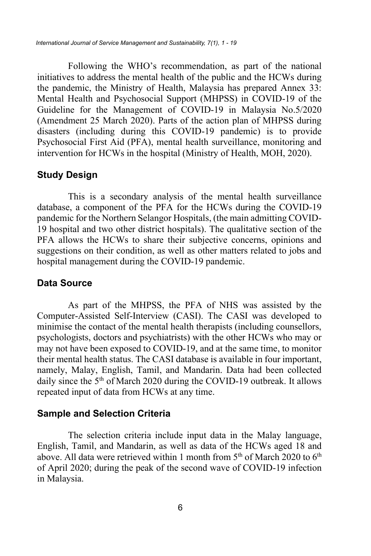Following the WHO's recommendation, as part of the national initiatives to address the mental health of the public and the HCWs during the pandemic, the Ministry of Health, Malaysia has prepared Annex 33: Mental Health and Psychosocial Support (MHPSS) in COVID-19 of the Guideline for the Management of COVID-19 in Malaysia No.5/2020 (Amendment 25 March 2020). Parts of the action plan of MHPSS during disasters (including during this COVID-19 pandemic) is to provide Psychosocial First Aid (PFA), mental health surveillance, monitoring and intervention for HCWs in the hospital (Ministry of Health, MOH, 2020).

#### **Study Design**

This is a secondary analysis of the mental health surveillance database, a component of the PFA for the HCWs during the COVID-19 pandemic for the Northern Selangor Hospitals, (the main admitting COVID-19 hospital and two other district hospitals). The qualitative section of the PFA allows the HCWs to share their subjective concerns, opinions and suggestions on their condition, as well as other matters related to jobs and hospital management during the COVID-19 pandemic.

#### **Data Source**

As part of the MHPSS, the PFA of NHS was assisted by the Computer-Assisted Self-Interview (CASI). The CASI was developed to minimise the contact of the mental health therapists (including counsellors, psychologists, doctors and psychiatrists) with the other HCWs who may or may not have been exposed to COVID-19, and at the same time, to monitor their mental health status. The CASI database is available in four important, namely, Malay, English, Tamil, and Mandarin. Data had been collected daily since the  $5<sup>th</sup>$  of March 2020 during the COVID-19 outbreak. It allows repeated input of data from HCWs at any time.

### **Sample and Selection Criteria**

The selection criteria include input data in the Malay language, English, Tamil, and Mandarin, as well as data of the HCWs aged 18 and above. All data were retrieved within 1 month from  $5<sup>th</sup>$  of March 2020 to  $6<sup>th</sup>$ of April 2020; during the peak of the second wave of COVID-19 infection in Malaysia.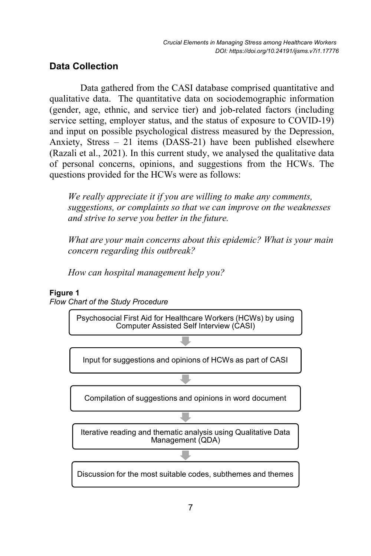## **Data Collection**

Data gathered from the CASI database comprised quantitative and qualitative data. The quantitative data on sociodemographic information (gender, age, ethnic, and service tier) and job-related factors (including service setting, employer status, and the status of exposure to COVID-19) and input on possible psychological distress measured by the Depression, Anxiety, Stress – 21 items (DASS-21) have been published elsewhere (Razali et al., 2021). In this current study, we analysed the qualitative data of personal concerns, opinions, and suggestions from the HCWs. The questions provided for the HCWs were as follows:

*We really appreciate it if you are willing to make any comments, suggestions, or complaints so that we can improve on the weaknesses and strive to serve you better in the future.* 

*What are your main concerns about this epidemic? What is your main concern regarding this outbreak?* 

*How can hospital management help you?* 

#### **Figure 1**

*Flow Chart of the Study Procedure*

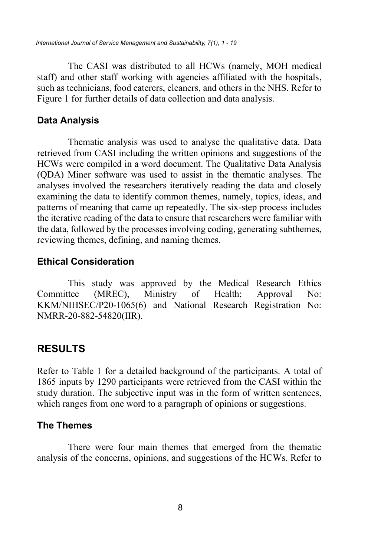The CASI was distributed to all HCWs (namely, MOH medical staff) and other staff working with agencies affiliated with the hospitals, such as technicians, food caterers, cleaners, and others in the NHS. Refer to Figure 1 for further details of data collection and data analysis.

### **Data Analysis**

Thematic analysis was used to analyse the qualitative data. Data retrieved from CASI including the written opinions and suggestions of the HCWs were compiled in a word document. The Qualitative Data Analysis (QDA) Miner software was used to assist in the thematic analyses. The analyses involved the researchers iteratively reading the data and closely examining the data to identify common themes, namely, topics, ideas, and patterns of meaning that came up repeatedly. The six-step process includes the iterative reading of the data to ensure that researchers were familiar with the data, followed by the processes involving coding, generating subthemes, reviewing themes, defining, and naming themes.

### **Ethical Consideration**

This study was approved by the Medical Research Ethics Committee (MREC), Ministry of Health; Approval No: KKM/NIHSEC/P20-1065(6) and National Research Registration No: NMRR-20-882-54820(IIR).

## **RESULTS**

Refer to Table 1 for a detailed background of the participants. A total of 1865 inputs by 1290 participants were retrieved from the CASI within the study duration. The subjective input was in the form of written sentences, which ranges from one word to a paragraph of opinions or suggestions.

### **The Themes**

There were four main themes that emerged from the thematic analysis of the concerns, opinions, and suggestions of the HCWs. Refer to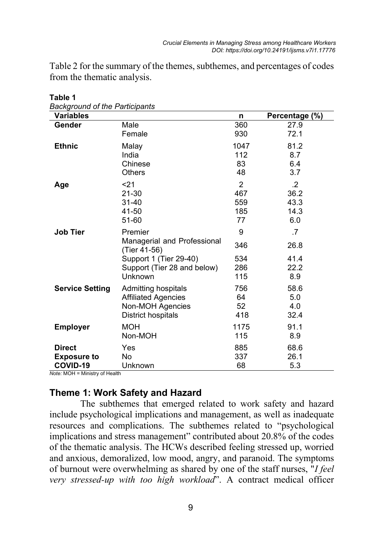Table 2 for the summary of the themes, subthemes, and percentages of codes from the thematic analysis.

| <b>Variables</b>                                                                  |                                                                                                                            | n                             | Percentage (%)                    |
|-----------------------------------------------------------------------------------|----------------------------------------------------------------------------------------------------------------------------|-------------------------------|-----------------------------------|
| Gender                                                                            | Male                                                                                                                       | 360                           | 27.9                              |
|                                                                                   | Female                                                                                                                     | 930                           | 72.1                              |
| <b>Ethnic</b>                                                                     | Malay                                                                                                                      | 1047                          | 81.2                              |
|                                                                                   | India                                                                                                                      | 112                           | 8.7                               |
|                                                                                   | Chinese                                                                                                                    | 83                            | 6.4                               |
|                                                                                   | <b>Others</b>                                                                                                              | 48                            | 3.7                               |
| Age                                                                               | 21                                                                                                                         | $\overline{2}$                | $\cdot$                           |
|                                                                                   | 21-30                                                                                                                      | 467                           | 36.2                              |
|                                                                                   | $31 - 40$                                                                                                                  | 559                           | 43.3                              |
|                                                                                   | 41-50                                                                                                                      | 185                           | 14.3                              |
|                                                                                   | 51-60                                                                                                                      | 77                            | 6.0                               |
| <b>Job Tier</b>                                                                   | Premier<br>Managerial and Professional<br>(Tier 41-56)<br>Support 1 (Tier 29-40)<br>Support (Tier 28 and below)<br>Unknown | 9<br>346<br>534<br>286<br>115 | .7<br>26.8<br>41.4<br>22.2<br>8.9 |
| <b>Service Setting</b>                                                            | Admitting hospitals                                                                                                        | 756                           | 58.6                              |
|                                                                                   | <b>Affiliated Agencies</b>                                                                                                 | 64                            | 5.0                               |
|                                                                                   | Non-MOH Agencies                                                                                                           | 52                            | 4.0                               |
|                                                                                   | District hospitals                                                                                                         | 418                           | 32.4                              |
| <b>Employer</b>                                                                   | <b>MOH</b>                                                                                                                 | 1175                          | 91.1                              |
|                                                                                   | Non-MOH                                                                                                                    | 115                           | 8.9                               |
| <b>Direct</b><br><b>Exposure to</b><br>COVID-19<br>Note: MOH = Ministry of Health | Yes<br>No<br>Unknown                                                                                                       | 885<br>337<br>68              | 68.6<br>26.1<br>5.3               |

**Table 1**

## **Theme 1: Work Safety and Hazard**

The subthemes that emerged related to work safety and hazard include psychological implications and management, as well as inadequate resources and complications. The subthemes related to "psychological implications and stress management" contributed about 20.8% of the codes of the thematic analysis. The HCWs described feeling stressed up, worried and anxious, demoralized, low mood, angry, and paranoid. The symptoms of burnout were overwhelming as shared by one of the staff nurses, "*I feel very stressed-up with too high workload*". A contract medical officer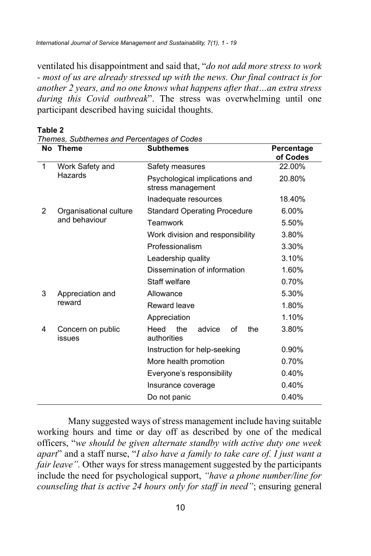ventilated his disappointment and said that, "*do not add more stress to work - most of us are already stressed up with the news. Our final contract is for another 2 years, and no one knows what happens after that…an extra stress during this Covid outbreak*". The stress was overwhelming until one participant described having suicidal thoughts.

|               | No Theme                                | <b>Subthemes</b>                                    | Percentage<br>of Codes |
|---------------|-----------------------------------------|-----------------------------------------------------|------------------------|
| 1             | Work Safety and<br>Hazards              | Safety measures                                     | 22.00%                 |
|               |                                         | Psychological implications and<br>stress management | 20.80%                 |
|               |                                         | Inadequate resources                                | 18.40%                 |
| $\mathcal{P}$ | Organisational culture<br>and behaviour | <b>Standard Operating Procedure</b>                 | 6.00%                  |
|               |                                         | Teamwork                                            | 5.50%                  |
|               |                                         | Work division and responsibility                    | 3.80%                  |
|               |                                         | Professionalism                                     | 3.30%                  |
|               |                                         | Leadership quality                                  | 3.10%                  |
|               |                                         | Dissemination of information                        | 1.60%                  |
|               |                                         | Staff welfare                                       | 0.70%                  |
| 3             | Appreciation and<br>reward              | Allowance                                           | 5.30%                  |
|               |                                         | Reward leave                                        | 1.80%                  |
|               |                                         | Appreciation                                        | 1.10%                  |
| 4             | Concern on public<br>issues             | the<br>Heed<br>the<br>advice<br>of<br>authorities   | 3.80%                  |
|               |                                         | Instruction for help-seeking                        | $0.90\%$               |
|               |                                         | More health promotion                               | 0.70%                  |
|               | Everyone's responsibility               |                                                     | 0.40%                  |
|               |                                         | Insurance coverage                                  | 0.40%                  |
|               | Do not panic                            |                                                     | 0.40%                  |

**Table 2**

*Themes, Subthemes and Percentages of Codes*

Many suggested ways of stress management include having suitable working hours and time or day off as described by one of the medical officers, "*we should be given alternate standby with active duty one week apart*" and a staff nurse, "*I also have a family to take care of. I just want a fair leave*". Other ways for stress management suggested by the participants include the need for psychological support, *"have a phone number/line for counseling that is active 24 hours only for staff in need"*; ensuring general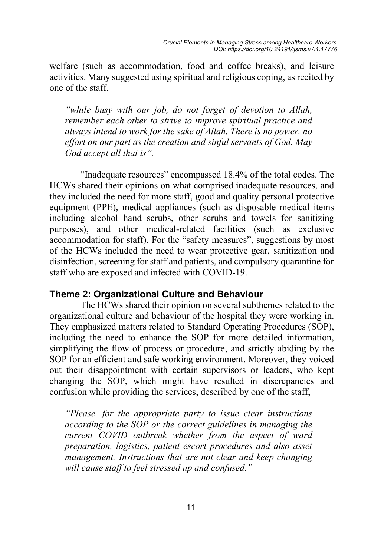welfare (such as accommodation, food and coffee breaks), and leisure activities. Many suggested using spiritual and religious coping, as recited by one of the staff,

*"while busy with our job, do not forget of devotion to Allah, remember each other to strive to improve spiritual practice and always intend to work for the sake of Allah. There is no power, no effort on our part as the creation and sinful servants of God. May God accept all that is".* 

"Inadequate resources" encompassed 18.4% of the total codes. The HCWs shared their opinions on what comprised inadequate resources, and they included the need for more staff, good and quality personal protective equipment (PPE), medical appliances (such as disposable medical items including alcohol hand scrubs, other scrubs and towels for sanitizing purposes), and other medical-related facilities (such as exclusive accommodation for staff). For the "safety measures", suggestions by most of the HCWs included the need to wear protective gear, sanitization and disinfection, screening for staff and patients, and compulsory quarantine for staff who are exposed and infected with COVID-19.

### **Theme 2: Organizational Culture and Behaviour**

The HCWs shared their opinion on several subthemes related to the organizational culture and behaviour of the hospital they were working in. They emphasized matters related to Standard Operating Procedures (SOP), including the need to enhance the SOP for more detailed information, simplifying the flow of process or procedure, and strictly abiding by the SOP for an efficient and safe working environment. Moreover, they voiced out their disappointment with certain supervisors or leaders, who kept changing the SOP, which might have resulted in discrepancies and confusion while providing the services, described by one of the staff,

*"Please. for the appropriate party to issue clear instructions according to the SOP or the correct guidelines in managing the current COVID outbreak whether from the aspect of ward preparation, logistics, patient escort procedures and also asset management. Instructions that are not clear and keep changing will cause staff to feel stressed up and confused."*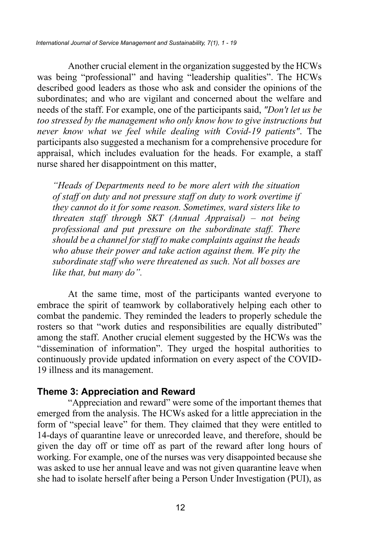Another crucial element in the organization suggested by the HCWs was being "professional" and having "leadership qualities". The HCWs described good leaders as those who ask and consider the opinions of the subordinates; and who are vigilant and concerned about the welfare and needs of the staff. For example, one of the participants said, *"Don't let us be too stressed by the management who only know how to give instructions but never know what we feel while dealing with Covid-19 patients"*. The participants also suggested a mechanism for a comprehensive procedure for appraisal, which includes evaluation for the heads. For example, a staff nurse shared her disappointment on this matter,

*"Heads of Departments need to be more alert with the situation of staff on duty and not pressure staff on duty to work overtime if they cannot do it for some reason. Sometimes, ward sisters like to threaten staff through SKT (Annual Appraisal) – not being professional and put pressure on the subordinate staff. There should be a channel for staff to make complaints against the heads who abuse their power and take action against them. We pity the subordinate staff who were threatened as such. Not all bosses are like that, but many do".*

At the same time, most of the participants wanted everyone to embrace the spirit of teamwork by collaboratively helping each other to combat the pandemic. They reminded the leaders to properly schedule the rosters so that "work duties and responsibilities are equally distributed" among the staff. Another crucial element suggested by the HCWs was the "dissemination of information". They urged the hospital authorities to continuously provide updated information on every aspect of the COVID-19 illness and its management.

#### **Theme 3: Appreciation and Reward**

"Appreciation and reward" were some of the important themes that emerged from the analysis. The HCWs asked for a little appreciation in the form of "special leave" for them. They claimed that they were entitled to 14-days of quarantine leave or unrecorded leave, and therefore, should be given the day off or time off as part of the reward after long hours of working. For example, one of the nurses was very disappointed because she was asked to use her annual leave and was not given quarantine leave when she had to isolate herself after being a Person Under Investigation (PUI), as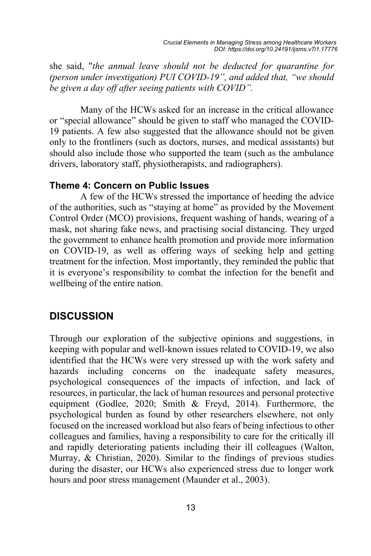she said, "*the annual leave should not be deducted for quarantine for (person under investigation) PUI COVID-19", and added that, "we should be given a day off after seeing patients with COVID".* 

Many of the HCWs asked for an increase in the critical allowance or "special allowance" should be given to staff who managed the COVID-19 patients. A few also suggested that the allowance should not be given only to the frontliners (such as doctors, nurses, and medical assistants) but should also include those who supported the team (such as the ambulance drivers, laboratory staff, physiotherapists, and radiographers).

#### **Theme 4: Concern on Public Issues**

A few of the HCWs stressed the importance of heeding the advice of the authorities, such as "staying at home" as provided by the Movement Control Order (MCO) provisions, frequent washing of hands, wearing of a mask, not sharing fake news, and practising social distancing. They urged the government to enhance health promotion and provide more information on COVID-19, as well as offering ways of seeking help and getting treatment for the infection. Most importantly, they reminded the public that it is everyone's responsibility to combat the infection for the benefit and wellbeing of the entire nation.

## **DISCUSSION**

Through our exploration of the subjective opinions and suggestions, in keeping with popular and well-known issues related to COVID-19, we also identified that the HCWs were very stressed up with the work safety and hazards including concerns on the inadequate safety measures, psychological consequences of the impacts of infection, and lack of resources, in particular, the lack of human resources and personal protective equipment (Godlee, 2020; Smith & Freyd, 2014). Furthermore, the psychological burden as found by other researchers elsewhere, not only focused on the increased workload but also fears of being infectious to other colleagues and families, having a responsibility to care for the critically ill and rapidly deteriorating patients including their ill colleagues (Walton, Murray, & Christian, 2020). Similar to the findings of previous studies during the disaster, our HCWs also experienced stress due to longer work hours and poor stress management (Maunder et al., 2003).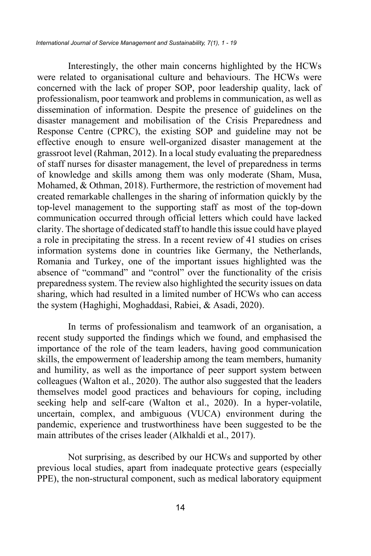Interestingly, the other main concerns highlighted by the HCWs were related to organisational culture and behaviours. The HCWs were concerned with the lack of proper SOP, poor leadership quality, lack of professionalism, poor teamwork and problems in communication, as well as dissemination of information. Despite the presence of guidelines on the disaster management and mobilisation of the Crisis Preparedness and Response Centre (CPRC), the existing SOP and guideline may not be effective enough to ensure well-organized disaster management at the grassroot level (Rahman, 2012). In a local study evaluating the preparedness of staff nurses for disaster management, the level of preparedness in terms of knowledge and skills among them was only moderate (Sham, Musa, Mohamed, & Othman, 2018). Furthermore, the restriction of movement had created remarkable challenges in the sharing of information quickly by the top-level management to the supporting staff as most of the top-down communication occurred through official letters which could have lacked clarity. The shortage of dedicated staff to handle this issue could have played a role in precipitating the stress. In a recent review of 41 studies on crises information systems done in countries like Germany, the Netherlands, Romania and Turkey, one of the important issues highlighted was the absence of "command" and "control" over the functionality of the crisis preparedness system. The review also highlighted the security issues on data sharing, which had resulted in a limited number of HCWs who can access the system (Haghighi, Moghaddasi, Rabiei, & Asadi, 2020).

In terms of professionalism and teamwork of an organisation, a recent study supported the findings which we found, and emphasised the importance of the role of the team leaders, having good communication skills, the empowerment of leadership among the team members, humanity and humility, as well as the importance of peer support system between colleagues (Walton et al., 2020). The author also suggested that the leaders themselves model good practices and behaviours for coping, including seeking help and self-care (Walton et al., 2020). In a hyper-volatile, uncertain, complex, and ambiguous (VUCA) environment during the pandemic, experience and trustworthiness have been suggested to be the main attributes of the crises leader (Alkhaldi et al., 2017).

Not surprising, as described by our HCWs and supported by other previous local studies, apart from inadequate protective gears (especially PPE), the non-structural component, such as medical laboratory equipment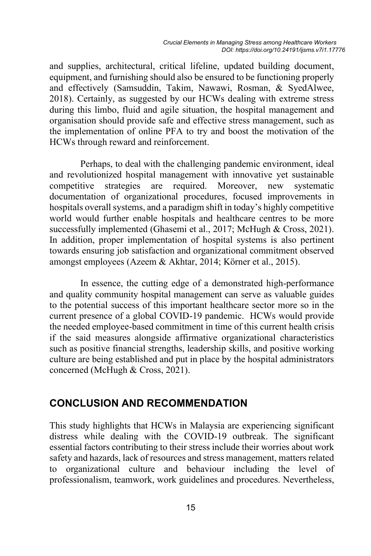and supplies, architectural, critical lifeline, updated building document, equipment, and furnishing should also be ensured to be functioning properly and effectively (Samsuddin, Takim, Nawawi, Rosman, & SyedAlwee, 2018). Certainly, as suggested by our HCWs dealing with extreme stress during this limbo, fluid and agile situation, the hospital management and organisation should provide safe and effective stress management, such as the implementation of online PFA to try and boost the motivation of the HCWs through reward and reinforcement.

Perhaps, to deal with the challenging pandemic environment, ideal and revolutionized hospital management with innovative yet sustainable competitive strategies are required. Moreover, new systematic documentation of organizational procedures, focused improvements in hospitals overall systems, and a paradigm shift in today's highly competitive world would further enable hospitals and healthcare centres to be more successfully implemented (Ghasemi et al., 2017; McHugh & Cross, 2021). In addition, proper implementation of hospital systems is also pertinent towards ensuring job satisfaction and organizational commitment observed amongst employees (Azeem & Akhtar, 2014; Körner et al., 2015).

In essence, the cutting edge of a demonstrated high-performance and quality community hospital management can serve as valuable guides to the potential success of this important healthcare sector more so in the current presence of a global COVID-19 pandemic. HCWs would provide the needed employee-based commitment in time of this current health crisis if the said measures alongside affirmative organizational characteristics such as positive financial strengths, leadership skills, and positive working culture are being established and put in place by the hospital administrators concerned (McHugh & Cross, 2021).

## **CONCLUSION AND RECOMMENDATION**

This study highlights that HCWs in Malaysia are experiencing significant distress while dealing with the COVID-19 outbreak. The significant essential factors contributing to their stress include their worries about work safety and hazards, lack of resources and stress management, matters related to organizational culture and behaviour including the level of professionalism, teamwork, work guidelines and procedures. Nevertheless,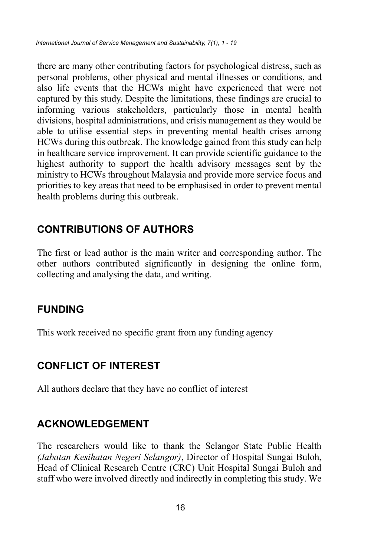there are many other contributing factors for psychological distress, such as personal problems, other physical and mental illnesses or conditions, and also life events that the HCWs might have experienced that were not captured by this study. Despite the limitations, these findings are crucial to informing various stakeholders, particularly those in mental health divisions, hospital administrations, and crisis management as they would be able to utilise essential steps in preventing mental health crises among HCWs during this outbreak. The knowledge gained from this study can help in healthcare service improvement. It can provide scientific guidance to the highest authority to support the health advisory messages sent by the ministry to HCWs throughout Malaysia and provide more service focus and priorities to key areas that need to be emphasised in order to prevent mental health problems during this outbreak.

# **CONTRIBUTIONS OF AUTHORS**

The first or lead author is the main writer and corresponding author. The other authors contributed significantly in designing the online form, collecting and analysing the data, and writing.

# **FUNDING**

This work received no specific grant from any funding agency

# **CONFLICT OF INTEREST**

All authors declare that they have no conflict of interest

# **ACKNOWLEDGEMENT**

The researchers would like to thank the Selangor State Public Health *(Jabatan Kesihatan Negeri Selangor)*, Director of Hospital Sungai Buloh, Head of Clinical Research Centre (CRC) Unit Hospital Sungai Buloh and staff who were involved directly and indirectly in completing this study. We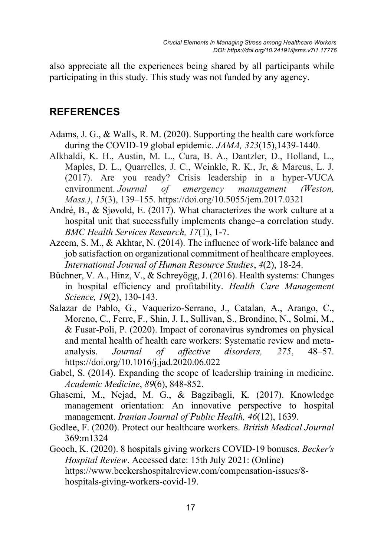also appreciate all the experiences being shared by all participants while participating in this study. This study was not funded by any agency.

## **REFERENCES**

- Adams, J. G., & Walls, R. M. (2020). Supporting the health care workforce during the COVID-19 global epidemic. *JAMA, 323*(15),1439-1440.
- Alkhaldi, K. H., Austin, M. L., Cura, B. A., Dantzler, D., Holland, L., Maples, D. L., Quarrelles, J. C., Weinkle, R. K., Jr, & Marcus, L. J. (2017). Are you ready? Crisis leadership in a hyper-VUCA environment. *Journal of emergency management (Weston, Mass.)*, *15*(3), 139–155. https://doi.org/10.5055/jem.2017.0321
- André, B., & Sjøvold, E. (2017). What characterizes the work culture at a hospital unit that successfully implements change–a correlation study. *BMC Health Services Research, 17*(1), 1-7.
- Azeem, S. M., & Akhtar, N. (2014). The influence of work-life balance and job satisfaction on organizational commitment of healthcare employees. *International Journal of Human Resource Studies*, *4*(2), 18-24.
- Büchner, V. A., Hinz, V., & Schreyögg, J. (2016). Health systems: Changes in hospital efficiency and profitability. *Health Care Management Science, 19*(2), 130-143.
- Salazar de Pablo, G., Vaquerizo-Serrano, J., Catalan, A., Arango, C., Moreno, C., Ferre, F., Shin, J. I., Sullivan, S., Brondino, N., Solmi, M., & Fusar-Poli, P. (2020). Impact of coronavirus syndromes on physical and mental health of health care workers: Systematic review and metaanalysis. *Journal of affective disorders, 275*, 48–57. https://doi.org/10.1016/j.jad.2020.06.022
- Gabel, S. (2014). Expanding the scope of leadership training in medicine. *Academic Medicine*, *89*(6), 848-852.
- Ghasemi, M., Nejad, M. G., & Bagzibagli, K. (2017). Knowledge management orientation: An innovative perspective to hospital management. *Iranian Journal of Public Health, 46*(12), 1639.
- Godlee, F. (2020). Protect our healthcare workers. *British Medical Journal* 369:m1324
- Gooch, K. (2020). 8 hospitals giving workers COVID-19 bonuses. *Becker's Hospital Review*. Accessed date: 15th July 2021: (Online) https://www.beckershospitalreview.com/compensation-issues/8 hospitals-giving-workers-covid-19.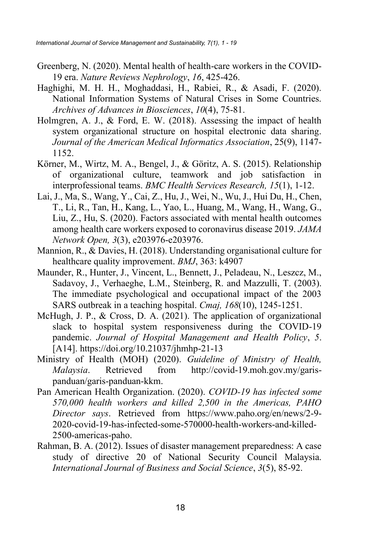- Greenberg, N. (2020). Mental health of health-care workers in the COVID-19 era. *Nature Reviews Nephrology*, *16*, 425-426.
- Haghighi, M. H. H., Moghaddasi, H., Rabiei, R., & Asadi, F. (2020). National Information Systems of Natural Crises in Some Countries. *Archives of Advances in Biosciences*, *10*(4), 75-81.
- Holmgren, A. J., & Ford, E. W. (2018). Assessing the impact of health system organizational structure on hospital electronic data sharing. *Journal of the American Medical Informatics Association*, 25(9), 1147- 1152.
- Körner, M., Wirtz, M. A., Bengel, J., & Göritz, A. S. (2015). Relationship of organizational culture, teamwork and job satisfaction in interprofessional teams. *BMC Health Services Research, 15*(1), 1-12.
- Lai, J., Ma, S., Wang, Y., Cai, Z., Hu, J., Wei, N., Wu, J., Hui Du, H., Chen, T., Li, R., Tan, H., Kang, L., Yao, L., Huang, M., Wang, H., Wang, G., Liu, Z., Hu, S. (2020). Factors associated with mental health outcomes among health care workers exposed to coronavirus disease 2019. *JAMA Network Open, 3*(3), e203976-e203976.
- Mannion, R., & Davies, H. (2018). Understanding organisational culture for healthcare quality improvement. *BMJ*, 363: k4907
- Maunder, R., Hunter, J., Vincent, L., Bennett, J., Peladeau, N., Leszcz, M., Sadavoy, J., Verhaeghe, L.M., Steinberg, R. and Mazzulli, T. (2003). The immediate psychological and occupational impact of the 2003 SARS outbreak in a teaching hospital. *Cmaj, 168*(10), 1245-1251.
- McHugh, J. P., & Cross, D. A. (2021). The application of organizational slack to hospital system responsiveness during the COVID-19 pandemic. *Journal of Hospital Management and Health Policy*, *5*. [A14]. https://doi.org/10.21037/jhmhp-21-13
- Ministry of Health (MOH) (2020). *Guideline of Ministry of Health, Malaysia*. Retrieved from http://covid-19.moh.gov.my/garispanduan/garis-panduan-kkm.
- Pan American Health Organization. (2020). *COVID-19 has infected some 570,000 health workers and killed 2,500 in the Americas, PAHO Director says*. Retrieved from https://www.paho.org/en/news/2-9- 2020-covid-19-has-infected-some-570000-health-workers-and-killed-2500-americas-paho.
- Rahman, B. A. (2012). Issues of disaster management preparedness: A case study of directive 20 of National Security Council Malaysia. *International Journal of Business and Social Science*, *3*(5), 85-92.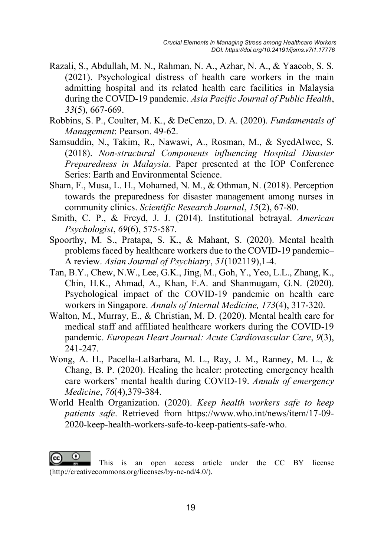- Razali, S., Abdullah, M. N., Rahman, N. A., Azhar, N. A., & Yaacob, S. S. (2021). Psychological distress of health care workers in the main admitting hospital and its related health care facilities in Malaysia during the COVID-19 pandemic. *Asia Pacific Journal of Public Health*, *33*(5), 667-669.
- Robbins, S. P., Coulter, M. K., & DeCenzo, D. A. (2020). *Fundamentals of Management*: Pearson. 49-62.
- Samsuddin, N., Takim, R., Nawawi, A., Rosman, M., & SyedAlwee, S. (2018). *Non-structural Components influencing Hospital Disaster Preparedness in Malaysia*. Paper presented at the IOP Conference Series: Earth and Environmental Science.
- Sham, F., Musa, L. H., Mohamed, N. M., & Othman, N. (2018). Perception towards the preparedness for disaster management among nurses in community clinics. *Scientific Research Journal*, *15*(2), 67-80.
- Smith, C. P., & Freyd, J. J. (2014). Institutional betrayal. *American Psychologist*, *69*(6), 575-587.
- Spoorthy, M. S., Pratapa, S. K., & Mahant, S. (2020). Mental health problems faced by healthcare workers due to the COVID-19 pandemic– A review. *Asian Journal of Psychiatry*, *51*(102119),1-4.
- Tan, B.Y., Chew, N.W., Lee, G.K., Jing, M., Goh, Y., Yeo, L.L., Zhang, K., Chin, H.K., Ahmad, A., Khan, F.A. and Shanmugam, G.N. (2020). Psychological impact of the COVID-19 pandemic on health care workers in Singapore. *Annals of Internal Medicine, 173*(4), 317-320.
- Walton, M., Murray, E., & Christian, M. D. (2020). Mental health care for medical staff and affiliated healthcare workers during the COVID-19 pandemic. *European Heart Journal: Acute Cardiovascular Care*, *9*(3), 241-247.
- Wong, A. H., Pacella-LaBarbara, M. L., Ray, J. M., Ranney, M. L., & Chang, B. P. (2020). Healing the healer: protecting emergency health care workers' mental health during COVID-19. *Annals of emergency Medicine*, *76*(4),379-384.
- World Health Organization. (2020). *Keep health workers safe to keep patients safe*. Retrieved from https://www.who.int/news/item/17-09- 2020-keep-health-workers-safe-to-keep-patients-safe-who.

ω This is an open access article under the CC BY license (http://creativecommons.org/licenses/by-nc-nd/4.0/).